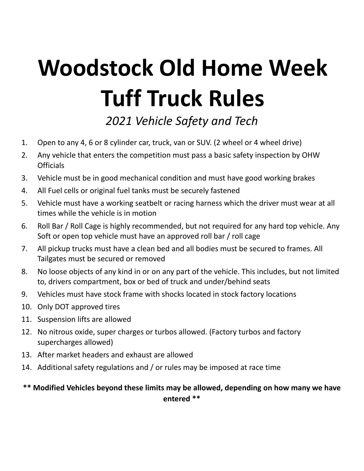## **Woodstock Old Home Week Tuff Truck Rules**

*2021 Vehicle Safety and Tech*

- 1. Open to any 4, 6 or 8 cylinder car, truck, van or SUV. (2 wheel or 4 wheel drive)
- 2. Any vehicle that enters the competition must pass a basic safety inspection by OHW **Officials**
- 3. Vehicle must be in good mechanical condition and must have good working brakes
- 4. All Fuel cells or original fuel tanks must be securely fastened
- 5. Vehicle must have a working seatbelt or racing harness which the driver must wear at all times while the vehicle is in motion
- 6. Roll Bar / Roll Cage is highly recommended, but not required for any hard top vehicle. Any Soft or open top vehicle must have an approved roll bar / roll cage
- 7. All pickup trucks must have a clean bed and all bodies must be secured to frames. All Tailgates must be secured or removed
- 8. No loose objects of any kind in or on any part of the vehicle. This includes, but not limited to, drivers compartment, box or bed of truck and under/behind seats
- 9. Vehicles must have stock frame with shocks located in stock factory locations
- 10. Only DOT approved tires
- 11. Suspension lifts are allowed
- 12. No nitrous oxide, super charges or turbos allowed. (Factory turbos and factory supercharges allowed)
- 13. After market headers and exhaust are allowed
- 14. Additional safety regulations and / or rules may be imposed at race time
- **\*\* Modified Vehicles beyond these limits may be allowed, depending on how many we have entered \*\***